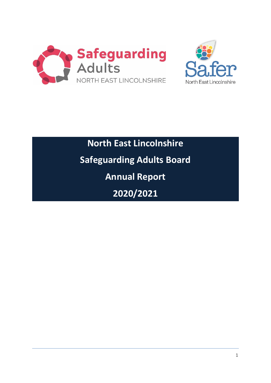



**North East Lincolnshire Safeguarding Adults Board Annual Report 2020/2021**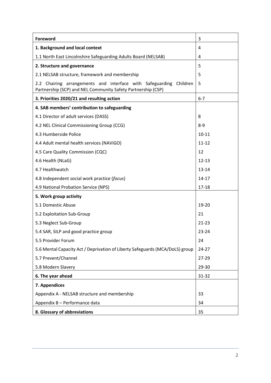| Foreword                                                                                                                           | 3         |
|------------------------------------------------------------------------------------------------------------------------------------|-----------|
| 1. Background and local context                                                                                                    | 4         |
| 1.1 North East Lincolnshire Safeguarding Adults Board (NELSAB)                                                                     | 4         |
| 2. Structure and governance                                                                                                        | 5         |
| 2.1 NELSAB structure, framework and membership                                                                                     | 5         |
| 2.2 Chairing arrangements and interface with Safeguarding Children<br>Partnership (SCP) and NEL Community Safety Partnership (CSP) | 5         |
| 3. Priorities 2020/21 and resulting action                                                                                         | $6 - 7$   |
| 4. SAB members' contribution to safeguarding                                                                                       |           |
| 4.1 Director of adult services (DASS)                                                                                              | 8         |
| 4.2 NEL Clinical Commissioning Group (CCG)                                                                                         | $8 - 9$   |
| 4.3 Humberside Police                                                                                                              | $10 - 11$ |
| 4.4 Adult mental health services (NAViGO)                                                                                          | $11 - 12$ |
| 4.5 Care Quality Commission (CQC)                                                                                                  | 12        |
| 4.6 Health (NLaG)                                                                                                                  | $12 - 13$ |
| 4.7 Healthwatch                                                                                                                    | 13-14     |
| 4.8 Independent social work practice (focus)                                                                                       | 14-17     |
| 4.9 National Probation Service (NPS)                                                                                               | $17 - 18$ |
| 5. Work group activity                                                                                                             |           |
| 5.1 Domestic Abuse                                                                                                                 | 19-20     |
| 5.2 Exploitation Sub-Group                                                                                                         | 21        |
| 5.3 Neglect Sub-Group                                                                                                              | $21 - 23$ |
| 5.4 SAR, SILP and good practice group                                                                                              | $23 - 24$ |
| 5.5 Provider Forum                                                                                                                 | 24        |
| 5.6 Mental Capacity Act / Deprivation of Liberty Safeguards (MCA/DoLS) group                                                       | $24 - 27$ |
| 5.7 Prevent/Channel                                                                                                                | 27-29     |
| 5.8 Modern Slavery                                                                                                                 | 29-30     |
| 6. The year ahead                                                                                                                  | 31-32     |
| 7. Appendices                                                                                                                      |           |
| Appendix A - NELSAB structure and membership                                                                                       | 33        |
| Appendix B - Performance data                                                                                                      | 34        |
| 8. Glossary of abbreviations                                                                                                       | 35        |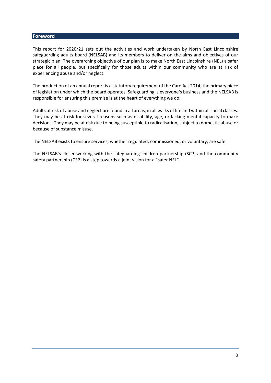#### **Foreword**

This report for 2020/21 sets out the activities and work undertaken by North East Lincolnshire safeguarding adults board (NELSAB) and its members to deliver on the aims and objectives of our strategic plan. The overarching objective of our plan is to make North East Lincolnshire (NEL) a safer place for all people, but specifically for those adults within our community who are at risk of experiencing abuse and/or neglect.

The production of an annual report is a statutory requirement of the Care Act 2014, the primary piece of legislation under which the board operates. Safeguarding is everyone's business and the NELSAB is responsible for ensuring this premise is at the heart of everything we do.

Adults at risk of abuse and neglect are found in all areas, in all walks of life and within all social classes. They may be at risk for several reasons such as disability, age, or lacking mental capacity to make decisions. They may be at risk due to being susceptible to radicalisation, subject to domestic abuse or because of substance misuse.

The NELSAB exists to ensure services, whether regulated, commissioned, or voluntary, are safe.

The NELSAB's closer working with the safeguarding children partnership (SCP) and the community safety partnership (CSP) is a step towards a joint vision for a "safer NEL".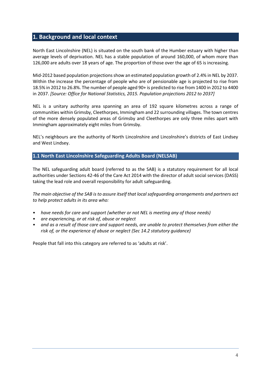# **1. Background and local context**

North East Lincolnshire (NEL) is situated on the south bank of the Humber estuary with higher than average levels of deprivation. NEL has a stable population of around 160,000, of whom more than 126,000 are adults over 18 years of age. The proportion of those over the age of 65 is increasing.

Mid-2012 based population projections show an estimated population growth of 2.4% in NEL by 2037. Within the increase the percentage of people who are of pensionable age is projected to rise from 18.5% in 2012 to 26.8%. The number of people aged 90+ is predicted to rise from 1400 in 2012 to 4400 in 2037. *[Source: Office for National Statistics, 2015. Population projections 2012 to 2037]*

NEL is a unitary authority area spanning an area of 192 square kilometres across a range of communities within Grimsby, Cleethorpes, Immingham and 22 surrounding villages. The town centres of the more densely populated areas of Grimsby and Cleethorpes are only three miles apart with Immingham approximately eight miles from Grimsby.

NEL's neighbours are the authority of North Lincolnshire and Lincolnshire's districts of East Lindsey and West Lindsey.

## **1.1 North East Lincolnshire Safeguarding Adults Board (NELSAB)**

The NEL safeguarding adult board (referred to as the SAB) is a statutory requirement for all local authorities under Sections 42-46 of the Care Act 2014 with the director of adult social services (DASS) taking the lead role and overall responsibility for adult safeguarding.

*The main objective of the SAB is to assure itself that local safeguarding arrangements and partners act to help protect adults in its area who:*

- *have needs for care and support (whether or not NEL is meeting any of those needs)*
- *are experiencing, or at risk of, abuse or neglect*
- *and as a result of those care and support needs, are unable to protect themselves from either the risk of, or the experience of abuse or neglect (Sec 14.2 statutory guidance)*

People that fall into this category are referred to as 'adults at risk'.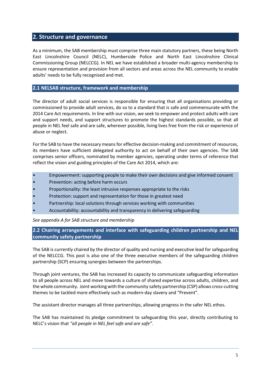# **2. Structure and governance**

As a minimum, the SAB membership must comprise three main statutory partners, these being North East Lincolnshire Council (NELC), Humberside Police and North East Lincolnshire Clinical Commissioning Group (NELCCG). In NEL we have established a broader multi-agency membership to ensure representation and provision from all sectors and areas across the NEL community to enable adults' needs to be fully recognised and met.

# **2.1 NELSAB structure, framework and membership**

The director of adult social services is responsible for ensuring that all organisations providing or commissioned to provide adult services, do so to a standard that is safe and commensurate with the 2014 Care Act requirements. In line with our vision, we seek to empower and protect adults with care and support needs, and support structures to promote the highest standards possible, so that all people in NEL feel safe and are safe, wherever possible, living lives free from the risk or experience of abuse or neglect.

For the SAB to have the necessary means for effective decision-making and commitment of resources, its members have sufficient delegated authority to act on behalf of their own agencies. The SAB comprises senior officers, nominated by member agencies, operating under terms of reference that reflect the vision and guiding principles of the Care Act 2014, which are:

- Empowerment: supporting people to make their own decisions and give informed consent
- Prevention: acting before harm occurs
- Proportionality: the least intrusive responses appropriate to the risks
- Protection: support and representation for those in greatest need
- Partnership: local solutions through services working with communities
- Accountability: accountability and transparency in delivering safeguarding

*See appendix A for SAB structure and membership*

**2.2 Chairing arrangements and interface with safeguarding children partnership and NEL community safety partnership** 

The SAB is currently chaired by the director of quality and nursing and executive lead for safeguarding of the NELCCG. This post is also one of the three executive members of the safeguarding children partnership (SCP) ensuring synergies between the partnerships.

Through joint ventures, the SAB has increased its capacity to communicate safeguarding information to all people across NEL and move towards a culture of shared expertise across adults, children, and the whole community. Joint working with the community safety partnership (CSP) allows cross-cutting themes to be tackled more effectively such as modern-day slavery and "Prevent".

The assistant director manages all three partnerships, allowing progress in the safer NEL ethos.

The SAB has maintained its pledge commitment to safeguarding this year, directly contributing to NELC's vision that *"all people in NEL feel safe and are safe"*.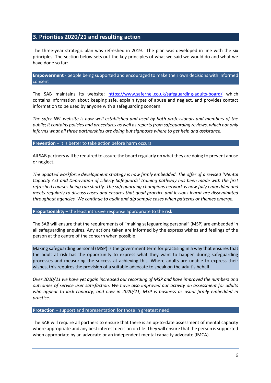# **3. Priorities 2020/21 and resulting action**

The three-year strategic plan was refreshed in 2019. The plan was developed in line with the six principles. The section below sets out the key principles of what we said we would do and what we have done so far:

**Empowerment** - people being supported and encouraged to make their own decisions with informed consent

The SAB maintains its website: <https://www.safernel.co.uk/safeguarding-adults-board/> which contains information about keeping safe, explain types of abuse and neglect, and provides contact information to be used by anyone with a safeguarding concern.

*The safer NEL website is now well established and used by both professionals and members of the public; it contains policies and procedures as well as reports from safeguarding reviews, which not only informs what all three partnerships are doing but signposts where to get help and assistance.* 

**Prevention** – it is better to take action before harm occurs

All SAB partners will be required to assure the board regularly on what they are doing to prevent abuse or neglect.

*The updated workforce development strategy is now firmly embedded. The offer of a revised 'Mental Capacity Act and Deprivation of Liberty Safeguards' training pathway has been made with the first refreshed courses being run shortly. The safeguarding champions network is now fully embedded and meets regularly to discuss cases and ensures that good practice and lessons learnt are disseminated throughout agencies. We continue to audit and dip sample cases when patterns or themes emerge.*

**Proportionality** – the least intrusive response appropriate to the risk

The SAB will ensure that the requirements of "making safeguarding personal" (MSP) are embedded in all safeguarding enquires. Any actions taken are informed by the express wishes and feelings of the person at the centre of the concern when possible.

Making safeguarding personal (MSP) is the government term for practising in a way that ensures that the adult at risk has the opportunity to express what they want to happen during safeguarding processes and measuring the success at achieving this. Where adults are unable to express their wishes, this requires the provision of a suitable advocate to speak on the adult's behalf.

*Over 2020/21 we have yet again increased our recording of MSP and have improved the numbers and outcomes of service user satisfaction. We have also improved our activity on assessment for adults who appear to lack capacity, and now in 2020/21, MSP is business as usual firmly embedded in practice.*

**Protection** – support and representation for those in greatest need

The SAB will require all partners to ensure that there is an up-to-date assessment of mental capacity where appropriate and any best interest decision on file. They will ensure that the person is supported when appropriate by an advocate or an independent mental capacity advocate (IMCA).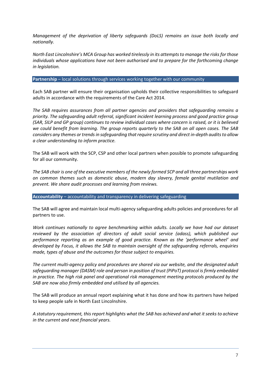*Management of the deprivation of liberty safeguards (DoLS) remains an issue both locally and nationally.* 

*North East Lincolnshire's MCA Group has worked tirelessly in its attempts to manage the risks for those individuals whose applications have not been authorised and to prepare for the forthcoming change in legislation.* 

#### **Partnership** – local solutions through services working together with our community

Each SAB partner will ensure their organisation upholds their collective responsibilities to safeguard adults in accordance with the requirements of the Care Act 2014.

*The SAB requires assurances from all partner agencies and providers that safeguarding remains a priority. The safeguarding adult referral, significant incident learning process and good practice group (SAR, SILP and GP group) continues to review individual cases where concern is raised, or it is believed we could benefit from learning. The group reports quarterly to the SAB on all open cases. The SAB considers any themes or trends in safeguarding that require scrutiny and direct in-depth auditsto allow a clear understanding to inform practice.* 

The SAB will work with the SCP, CSP and other local partners when possible to promote safeguarding for all our community.

*The SAB chair is one of the executive members of the newly formed SCP and all three partnerships work on common themes such as domestic abuse, modern day slavery, female genital mutilation and prevent. We share audit processes and learning from reviews.*

**Accountability** – accountability and transparency in delivering safeguarding

The SAB will agree and maintain local multi-agency safeguarding adults policies and procedures for all partners to use.

*Work continues nationally to agree benchmarking within adults. Locally we have had our dataset reviewed by the association of directors of adult social service (adass), which published our performance reporting as an example of good practice. Known as the 'performance wheel' and developed by Focus, it allows the SAB to maintain oversight of the safeguarding referrals, enquiries made, types of abuse and the outcomes for those subject to enquiries.* 

*The current multi-agency policy and procedures are shared via our website, and the designated adult safeguarding manager (DASM) role and person in position of trust (PiPoT) protocol is firmly embedded in practice. The high risk panel and operational risk management meeting protocols produced by the SAB are now also firmly embedded and utilised by all agencies.* 

The SAB will produce an annual report explaining what it has done and how its partners have helped to keep people safe in North East Lincolnshire.

*A statutory requirement, this report highlights what the SAB has achieved and what it seeks to achieve in the current and next financial years.*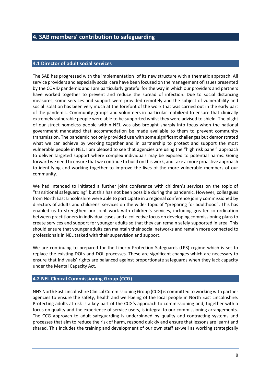# **4. SAB members' contribution to safeguarding**

#### **4.1 Director of adult social services**

The SAB has progressed with the implementation of its new structure with a thematic approach. All service providers and especially social care have been focused on the management of issues presented by the COVID pandemic and I am particularly grateful for the way in which our providers and partners have worked together to prevent and reduce the spread of infection. Due to social distancing measures, some services and support were provided remotely and the subject of vulnerability and social isolation has been very much at the forefont of the work that was carried out in the early part of the pandemic. Community groups and volunteers in particular mobilized to ensure that clinically extremely vulnerable people were able to be supported whilst they were advised to shield. The plight of our street homeless people within NEL was also brought sharply into focus when the national government mandated that accommodation be made available to them to prevent community transmission. The pandemic not only provided use with some significant challenges but demonstrated what we can achieve by working together and in partnership to protect and support the most vulnerable people in NEL. I am pleased to see that agencies are using the "high risk panel" approach to deliver targeted support where complex individuals may be exposed to potential harms. Going forward we need to ensure that we continue to build on this work, and take a more proactive approach to identifying and working together to improve the lives of the more vulnerable members of our community.

We had intended to initiated a further joint conference with children's services on the topic of "transitional safeguarding" but this has not been possible during the pandemic. However, colleagues from North East Lincolnshire were able to participate in a regional conference joinly commissioned by directors of adults and childrens' services on the wider topic of "preparing for adulthood". This has enabled us to strengthen our joint work with children's services, including greater co-ordination between practitioners in individual cases and a collective focus on developing commissioning plans to create services and support for younger adults so that they can remain safely supported in area. This should ensure that younger adults can maintain their social networks and remain more connected to professionals in NEL tasked with their supervision and support.

We are continuing to prepared for the Liberty Protection Safeguards (LPS) regime which is set to replace the existing DOLs and DOL processes. These are significant changes which are necessary to ensure that indivuals' rights are balanced against proportionate safeguards when they lack capacity under the Mental Capacity Act.

#### **4.2 NEL Clinical Commissioning Group (CCG)**

NHS North East Lincolnshire Clinical Commissioning Group (CCG) is committed to working with partner agencies to ensure the safety, health and well-being of the local people in North East Lincolnshire. Protecting adults at risk is a key part of the CCG's approach to commissioning and, together with a focus on quality and the experience of service users, is integral to our commissioning arrangements. The CCG approach to adult safeguarding is underpinned by quality and contracting systems and processes that aim to reduce the risk of harm, respond quickly and ensure that lessons are learnt and shared. This includes the training and development of our own staff as-well as working strategically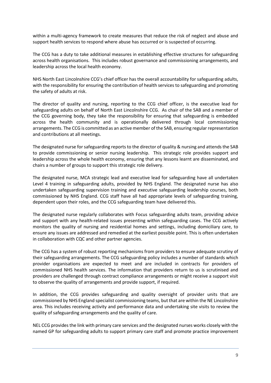within a multi-agency framework to create measures that reduce the risk of neglect and abuse and support health services to respond where abuse has occurred or is suspected of occurring.

The CCG has a duty to take additional measures in establishing effective structures for safeguarding across health organisations. This includes robust governance and commissioning arrangements, and leadership across the local health economy.

NHS North East Lincolnshire CCG's chief officer has the overall accountability for safeguarding adults, with the responsibility for ensuring the contribution of health services to safeguarding and promoting the safety of adults at risk.

The director of quality and nursing, reporting to the CCG chief officer, is the executive lead for safeguarding adults on behalf of North East Lincolnshire CCG. As chair of the SAB and a member of the CCG governing body, they take the responsibility for ensuring that safeguarding is embedded across the health community and is operationally delivered through local commissioning arrangements. The CCG is committed as an active member of the SAB, ensuring regular representation and contributions at all meetings.

The designated nurse for safeguarding reports to the director of quality & nursing and attends the SAB to provide commissioning or senior nursing leadership. This strategic role provides support and leadership across the whole health economy, ensuring that any lessons learnt are disseminated, and chairs a number of groups to support this strategic role delivery.

The designated nurse, MCA strategic lead and executive lead for safeguarding have all undertaken Level 4 training in safeguarding adults, provided by NHS England. The designated nurse has also undertaken safeguarding supervision training and executive safeguarding leadership courses, both commissioned by NHS England. CCG staff have all had appropriate levels of safeguarding training, dependent upon their roles, and the CCG safeguarding team have delivered this.

The designated nurse regularly collaborates with Focus safeguarding adults team, providing advice and support with any health-related issues presenting within safeguarding cases. The CCG actively monitors the quality of nursing and residential homes and settings, including domiciliary care, to ensure any issues are addressed and remedied at the earliest possible point. This is often undertaken in collaboration with CQC and other partner agencies.

The CCG has a system of robust reporting mechanisms from providers to ensure adequate scrutiny of their safeguarding arrangements. The CCG safeguarding policy includes a number of standards which provider organisations are expected to meet and are included in contracts for providers of commissioned NHS health services. The information that providers return to us is scrutinised and providers are challenged through contract compliance arrangements or might receive a support visit to observe the quality of arrangements and provide support, if required.

In addition, the CCG provides safeguarding and quality oversight of provider units that are commissioned by NHS England specialist commissioning teams, but that are within the NE Lincolnshire area. This includes receiving activity and performance data and undertaking site visits to review the quality of safeguarding arrangements and the quality of care.

NEL CCG provides the link with primary care services and the designated nurses works closely with the named GP for safeguarding adults to support primary care staff and promote practice improvement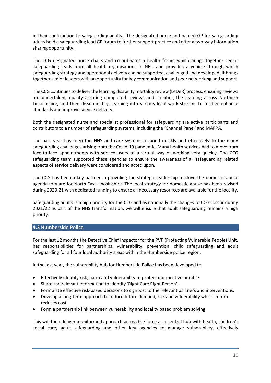in their contribution to safeguarding adults. The designated nurse and named GP for safeguarding adults hold a safeguarding lead GP forum to further support practice and offer a two-way information sharing opportunity.

The CCG designated nurse chairs and co-ordinates a health forum which brings together senior safeguarding leads from all health organisations in NEL, and provides a vehicle through which safeguarding strategy and operational delivery can be supported, challenged and developed. It brings together senior leaders with an opportunity for key communication and peer networking and support.

The CCG continues to deliver the learning disability mortality review (LeDeR) process, ensuring reviews are undertaken, quality assuring completed reviews and collating the learning across Northern Lincolnshire, and then disseminating learning into various local work-streams to further enhance standards and improve service delivery.

Both the designated nurse and specialist professional for safeguarding are active participants and contributors to a number of safeguarding systems, including the 'Channel Panel' and MAPPA.

The past year has seen the NHS and care systems respond quickly and effectively to the many safeguarding challenges arising from the Covid-19 pandemic. Many health services had to move from face-to-face appointments with service users to a virtual way of working very quickly. The CCG safeguarding team supported these agencies to ensure the awareness of all safeguarding related aspects of service delivery were considered and acted upon.

The CCG has been a key partner in providing the strategic leadership to drive the domestic abuse agenda forward for North East Lincolnshire. The local strategy for domestic abuse has been revised during 2020-21 with dedicated funding to ensure all necessary resources are available for the locality.

Safeguarding adults is a high priority for the CCG and as nationally the changes to CCGs occur during 2021/22 as part of the NHS transformation, we will ensure that adult safeguarding remains a high priority.

# **4.3 Humberside Police**

For the last 12 months the Detective Chief Inspector for the PVP (Protecting Vulnerable People) Unit, has responsibilities for partnerships, vulnerability, prevention, child safeguarding and adult safeguarding for all four local authority areas within the Humberside police region.

In the last year, the vulnerability hub for Humberside Police has been developed to:

- Effectively identify risk, harm and vulnerability to protect our most vulnerable.
- Share the relevant information to identify 'Right Care Right Person'.
- Formulate effective risk-based decisions to signpost to the relevant partners and interventions.
- Develop a long-term approach to reduce future demand, risk and vulnerability which in turn reduces cost.
- Form a partnership link between vulnerability and locality based problem solving.

This will then deliver a uniformed approach across the force as a central hub with health, children's social care, adult safeguarding and other key agencies to manage vulnerability, effectively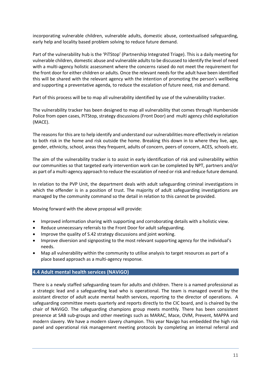incorporating vulnerable children, vulnerable adults, domestic abuse, contextualised safeguarding, early help and locality based problem solving to reduce future demand.

Part of the vulnerability hub is the 'PiTStop' (Partnership Integrated Triage). This is a daily meeting for vulnerable children, domestic abuse and vulnerable adults to be discussed to identify the level of need with a multi-agency holistic assessment where the concerns raised do not meet the requirement for the front door for either children or adults. Once the relevant needs for the adult have been identified this will be shared with the relevant agency with the intention of promoting the person's wellbeing and supporting a preventative agenda, to reduce the escalation of future need, risk and demand.

Part of this process will be to map all vulnerability identified by use of the vulnerability tracker.

The vulnerability tracker has been designed to map all vulnerability that comes through Humberside Police from open cases, PiTStop, strategy discussions (Front Door) and multi agency child exploitation (MACE).

The reasons for this are to help identify and understand our vulnerabilities more effectively in relation to both risk in the home and risk outside the home. Breaking this down in to where they live, age, gender, ethnicity, school, areas they frequent, adults of concern, peers of concern, ACES, schools etc.

The aim of the vulnerability tracker is to assist in early identification of risk and vulnerability within our communities so that targeted early intervention work can be completed by NPT, partners and/or as part of a multi-agency approach to reduce the escalation of need or risk and reduce future demand.

In relation to the PVP Unit, the department deals with adult safeguarding criminal investigations in which the offender is in a position of trust. The majority of adult safeguarding investigations are managed by the community command so the detail in relation to this cannot be provided.

Moving forward with the above proposal will provide:

- Improved information sharing with supporting and corroborating details with a holistic view.
- Reduce unnecessary referrals to the Front Door for adult safeguarding.
- Improve the quality of S.42 strategy discussions and joint working.
- Improve diversion and signposting to the most relevant supporting agency for the individual's needs.
- Map all vulnerability within the community to utilise analysis to target resources as part of a place based approach as a multi-agency response.

# **4.4 Adult mental health services (NAViGO)**

There is a newly staffed safeguarding team for adults and children. There is a named professional as a strategic lead and a safeguarding lead who is operational. The team is managed overall by the assistant director of adult acute mental health services, reporting to the director of operations. A safeguarding committee meets quarterly and reports directly to the CIC board, and is chaired by the chair of NAViGO. The safeguarding champions group meets monthly. There has been consistent presence at SAB sub-groups and other meetings such as MARAC, Mace, OVM, Prevent, MAPPA and modern slavery. We have a modern slavery champion. This year Navigo has embedded the high risk panel and operational risk management meeting protocols by completing an internal referral and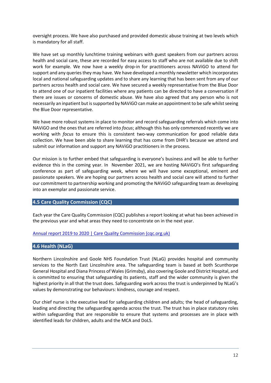oversight process. We have also purchased and provided domestic abuse training at two levels which is mandatory for all staff.

We have set up monthly lunchtime training webinars with guest speakers from our partners across health and social care, these are recorded for easy access to staff who are not available due to shift work for example. We now have a weekly drop-in for practitioners across NAViGO to attend for support and any queries they may have. We have developed a monthly newsletter which incorporates local and national safeguarding updates and to share any learning that has been sent from any of our partners across health and social care. We have secured a weekly representative from the Blue Door to attend one of our inpatient facilities where any patients can be directed to have a conversation if there are issues or concerns of domestic abuse. We have also agreed that any person who is not necessarily an inpatient but is supported by NAViGO can make an appointment to be safe whilst seeing the Blue Door representative.

We have more robust systems in place to monitor and record safeguarding referrals which come into NAViGO and the ones that are referred into *focus*; although this has only commenced recently we are working with *focus* to ensure this is consistent two-way communication for good reliable data collection. We have been able to share learning that has come from DHR's because we attend and submit our information and support any NAViGO practitioners in the process.

Our mission is to further embed that safeguarding is everyone's business and will be able to further evidence this in the coming year. In November 2021, we are hosting NAViGO's first safeguarding conference as part of safeguarding week, where we will have some exceptional, eminent and passionate speakers. We are hoping our partners across health and social care will attend to further our commitment to partnership working and promoting the NAViGO safeguarding team as developing into an exemplar and passionate service.

# **4.5 Care Quality Commission (CQC)**

Each year the Care Quality Commission (CQC) publishes a report looking at what has been achieved in the previous year and what areas they need to concentrate on in the next year.

#### [Annual report 2019 to 2020 | Care Quality Commission \(cqc.org.uk\)](https://www.cqc.org.uk/publications/major-report/annual-report-2019-2020)

#### **4.6 Health (NLaG)**

Northern Lincolnshire and Goole NHS Foundation Trust (NLaG) provides hospital and community services to the North East Lincolnshire area. The safeguarding team is based at both Scunthorpe General Hospital and Diana Princess of Wales (Grimsby), also covering Goole and District Hospital, and is committed to ensuring that safeguarding its patients, staff and the wider community is given the highest priority in all that the trust does. Safeguarding work across the trust is underpinned by NLaG's values by demonstrating our behaviours: kindness, courage and respect.

Our chief nurse is the executive lead for safeguarding children and adults; the head of safeguarding, leading and directing the safeguarding agenda across the trust. The trust has in place statutory roles within safeguarding that are responsible to ensure that systems and processes are in place with identified leads for children, adults and the MCA and DoLS.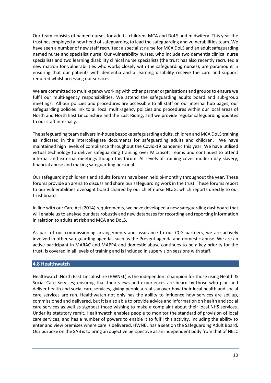Our team consists of named nurses for adults, children, MCA and DoLS and midwifery. This year the trust has employed a new head of safeguarding to lead the safeguarding and vulnerabilities team. We have seen a number of new staff recruited; a specialist nurse for MCA DoLS and an adult safeguarding named nurse and specialist nurse. Our vulnerability nurses, who include two dementia clinical nurse specialists and two learning disability clinical nurse specialists (the trust has also recently recruited a new matron for vulnerabilities who works closely with the safeguarding nurses), are paramount in ensuring that our patients with dementia and a learning disability receive the care and support required whilst accessing our services.

We are committed to multi-agency working with other partner organisations and groups to ensure we fulfil our multi-agency responsibilities. We attend the safeguarding adults board and sub-group meetings. All our policies and procedures are accessible to all staff on our internal hub pages, our safeguarding policies link to all local multi-agency policies and procedures within our local areas of North and North East Lincolnshire and the East Riding, and we provide regular safeguarding updates to our staff internally.

The safeguarding team delivers in-house bespoke safeguarding adults, children and MCA DoLS training as indicated in the intercollegiate documents for safeguarding adults and children. We have maintained high levels of compliance throughout the Covid-19 pandemic this year. We have utilised virtual technology to deliver safeguarding training over Microsoft Teams and continued to attend internal and external meetings though this forum. All levels of training cover modern day slavery, financial abuse and making safeguarding personal.

Our safeguarding children's and adults forums have been held bi-monthly throughout the year. These forums provide an arena to discuss and share our safeguarding work in the trust. These forums report to our vulnerabilities oversight board chaired by our chief nurse NLaG, which reports directly to our trust board.

In line with our Care Act (2014) requirements, we have developed a new safeguarding dashboard that will enable us to analyse our data robustly and new databases for recording and reporting information in relation to adults at risk and MCA and DoLS.

As part of our commissioning arrangements and assurance to our CCG partners, we are actively involved in other safeguarding agendas such as the Prevent agenda and domestic abuse. We are an active participant in MARAC and MAPPA and domestic abuse continues to be a key priority for the trust, is covered in all levels of training and is included in supervision sessions with staff.

# **4.8 Healthwatch**

Healthwatch North East Lincolnshire (HWNEL) is the independent champion for those using Health & Social Care Services; ensuring that their views and experiences are heard by those who plan and deliver health and social care services, giving people a real say over how their local health and social care services are run. Healthwatch not only has the ability to influence how services are set up, commissioned and delivered, but it is also able to provide advice and information on health and social care services as well as signpost those wishing to make a complaint about their local NHS services. Under its statutory remit, Healthwatch enables people to monitor the standard of provision of local care services, and has a number of powers to enable it to fulfil this activity, including the ability to enter and view premises where care is delivered. HWNEL has a seat on the Safeguarding Adult Board. Our purpose on the SAB is to bring an objective perspective as an independent body from that of NELC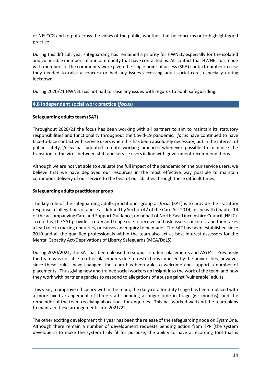or NELCCG and to put across the views of the public, whether that be concerns or to highlight good practice.

During this difficult year safeguarding has remained a priority for HWNEL, especially for the isolated and vulnerable members of our community that have contacted us. All contact that HWNEL has made with members of the community were given the single point of access (SPA) contact number in case they needed to raise a concern or had any issues accessing adult social care, especially during lockdown.

During 2020/21 HWNEL has not had to raise any issues with regards to adult safeguarding.

## **4.8 Independent social work practice (***focus***)**

## **Safeguarding adults team (SAT)**

Throughout 2020/21 the focus has been working with all partners to aim to maintain its statutory responsibilities and functionality throughout the Covid-19 pandemic. *focus* have continued to have face-to-face contact with service users when this has been absolutely necessary, but in the interest of public safety, *focus* has adopted remote working practices whenever possible to minimise the transition of the virus between staff and service users in line with government recommendations.

Although we are not yet able to evaluate the full impact of the pandemic on the our service users, we believe that we have deployed our resources in the most effective way possible to maintain continuous delivery of our service to the best of our abilities through these difficult times.

#### **Safeguarding adults practitioner group**

The key role of the safeguarding adults practitioner group at *focus* (SAT) is to provide the statutory response to allegations of abuse as defined by Section 42 of the Care Act 2014, in line with Chapter 14 of the accompanying Care and Support Guidance, on behalf of North East Lincolnshire Council (NELC). To do this, the SAT provides a duty and triage role to receive and risk assess concerns, and then takes a lead role in making enquiries, or causes an enquiry to be made. The SAT has been established since 2010 and all the qualified professionals within the team also act as best interest assessors for the Mental Capacity Act/Deprivations of Liberty Safeguards (MCA/DoLS).

During 2020/2021, the SAT has been pleased to support student placements and ASYE's. Previously the team was not able to offer placements due to restrictions imposed by the universities, however since these 'rules' have changed, the team has been able to welcome and support a number of placements. Thus giving new and trainee social workers an insight into the work of the team and how they work with partner agencies to respond to allegations of abuse against 'vulnerable' adults.

This year, to improve efficiency within the team, the daily rota for duty triage has been replaced with a more fixed arrangement of three staff spending a longer time in triage (6+ months), and the remainder of the team receiving allocations for enquiries. This has worked well and the team plans to maintain these arrangements into 2021/22.

The other exciting development this year has been the release of the safeguarding node on SystmOne. Although there remain a number of development requests pending action from TPP (the system developers) to make the system truly fit for purpose, the ability to have a recording tool that is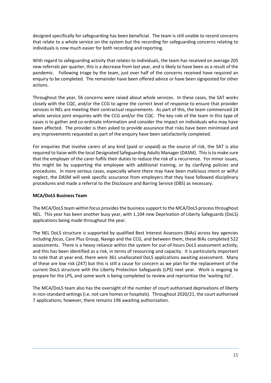designed specifically for safeguarding has been beneficial. The team is still unable to record concerns that relate to a whole service on the system but the recording for safeguarding concerns relating to individuals is now much easier for both recording and reporting.

With regard to safeguarding activity that relates to individuals, the team has received on average 205 new referrals per quarter, this is a decrease from last year, and is likely to have been as a result of the pandemic. Following triage by the team, just over half of the concerns received have required an enquiry to be completed. The remainder have been offered advice or have been signposted for other actions.

Throughout the year, 56 concerns were raised about whole services. In these cases, the SAT works closely with the CQC, and/or the CCG to agree the correct level of response to ensure that provider services in NEL are meeting their contractual requirements. As part of this, the team commenced 24 whole service joint enquiries with the CCG and/or the CQC. The key role of the team in this type of cases is to gather and co-ordinate information and consider the impact on individuals who may have been affected. The provider is then asked to provide assurance that risks have been minimised and any improvements requested as part of the enquiry have been satisfactorily completed.

For enquiries that involve carers of any kind (paid or unpaid) as the source of risk, the SAT is also required to liaise with the local Designated Safeguarding Adults Manager (DASM). This is to make sure that the employer of the carer fulfils their duties to reduce the risk of a recurrence. For minor issues, this might be by supporting the employee with additional training, or by clarifying policies and procedures. In more serious cases, especially where there may have been malicious intent or wilful neglect, the DASM will seek specific assurance from employers that they have followed disciplinary procedures and made a referral to the Disclosure and Barring Service (DBS) as necessary.

# **MCA/DoLS Business Team**

The MCA/DoLS team within focus provides the business support to the MCA/DoLS process throughout NEL. This year has been another busy year, with 1,104 new Deprivation of Liberty Safeguards (DoLS) applications being made throughout the year.

The NEL DoLS structure is supported by qualified Best Interest Assessors (BIAs) across key agencies including *focus*, Care Plus Group, Navigo and the CCG, and between them, these BIAs completed 522 assessments. There is a heavy reliance within the system for out-of-hours DoLS assessment activity, and this has been identified as a risk, in terms of resourcing and capacity. It is particularly important to note that at year end, there were 361 unallocated DoLS applications awaiting assessment. Many of these are low risk (247) but this is still a cause for concern as we plan for the replacement of the current DoLS structure with the Liberty Protection Safeguards (LPS) next year. Work is ongoing to prepare for the LPS, and some work is being completed to review and reprioritise the 'waiting list'.

The MCA/DoLS team also has the oversight of the number of court authorised deprivations of liberty in non-standard settings (i.e. not care homes or hospitals). Throughout 2020/21, the court authorised 7 applications; however, there remains 196 awaiting authorisation.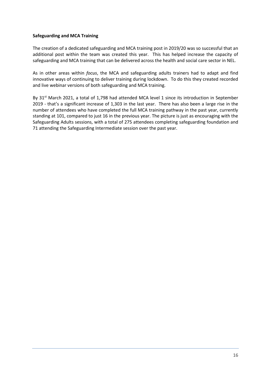## **Safeguarding and MCA Training**

The creation of a dedicated safeguarding and MCA training post in 2019/20 was so successful that an additional post within the team was created this year. This has helped increase the capacity of safeguarding and MCA training that can be delivered across the health and social care sector in NEL.

As in other areas within *focus*, the MCA and safeguarding adults trainers had to adapt and find innovative ways of continuing to deliver training during lockdown. To do this they created recorded and live webinar versions of both safeguarding and MCA training.

By 31<sup>st</sup> March 2021, a total of 1,798 had attended MCA level 1 since its introduction in September 2019 - that's a significant increase of 1,303 in the last year. There has also been a large rise in the number of attendees who have completed the full MCA training pathway in the past year, currently standing at 101, compared to just 16 in the previous year. The picture is just as encouraging with the Safeguarding Adults sessions, with a total of 275 attendees completing safeguarding foundation and 71 attending the Safeguarding Intermediate session over the past year.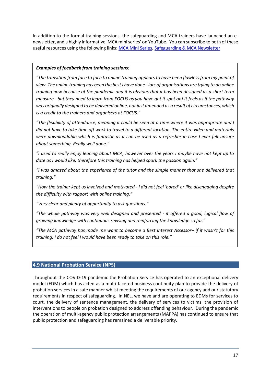In addition to the formal training sessions, the safeguarding and MCA trainers have launched an enewsletter, and a highly informative 'MCA mini series' on YouTube. You can subscribe to both of these useful resources using the following links[: MCA Mini Series,](https://www.youtube.com/channel/UCjnEJAJUNeaANQZbDu0jfhg) [Safeguarding & MCA Newsletter](https://us4.campaign-archive.com/home/?u=54071cee0e5a8dd19a0a472af&id=0dceee4a8b)

# *Examples of feedback from training sessions:*

*"The transition from face to face to online training appears to have been flawless from my point of view. The online training has been the best I have done - lots of organisations are trying to do online training now because of the pandemic and it is obvious that it has been designed as a short term measure - but they need to learn from FOCUS as you have got it spot on! It feels as if the pathway was originally designed to be delivered online, not just amended as a result of circumstances, which is a credit to the trainers and organisers at FOCUS."*

*"The flexibility of attendance, meaning it could be seen at a time where it was appropriate and I did not have to take time off work to travel to a different location. The entire video and materials were downloadable which is fantastic as it can be used as a refresher in case I ever felt unsure about something. Really well done."*

*"I used to really enjoy leaning about MCA, however over the years I maybe have not kept up to date as I would like, therefore this training has helped spark the passion again."*

*"I was amazed about the experience of the tutor and the simple manner that she delivered that training."*

*"How the trainer kept us involved and motivated - I did not feel 'bored' or like disengaging despite the difficulty with rapport with online training."*

*"Very clear and plenty of opportunity to ask questions."*

*"The whole pathway was very well designed and presented - it offered a good, logical flow of growing knowledge with continuous revising and reinforcing the knowledge so far."*

*"The MCA pathway has made me want to become a Best Interest Assessor– if it wasn't for this training, I do not feel I would have been ready to take on this role."*

# **4.9 National Probation Service (NPS)**

Throughout the COVID-19 pandemic the Probation Service has operated to an exceptional delivery model (EDM) which has acted as a multi-faceted business continuity plan to provide the delivery of probation services in a safe manner whilst meeting the requirements of our agency and our statutory requirements in respect of safeguarding. In NEL, we have and are operating to EDMs for services to court, the delivery of sentence management, the delivery of services to victims, the provision of interventions to people on probation designed to address offending behaviour. During the pandemic the operation of multi-agency public protection arrangements (MAPPA) has continued to ensure that public protection and safeguarding has remained a deliverable priority.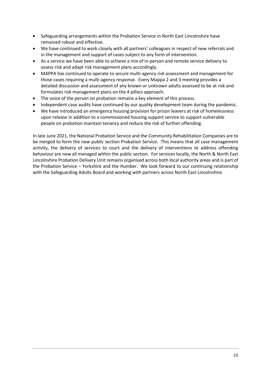- Safeguarding arrangements within the Probation Service in North East Lincolnshire have remained robust and effective.
- We have continued to work closely with all partners' colleagues in respect of new referrals and in the management and support of cases subject to any form of intervention.
- As a service we have been able to achieve a mix of in-person and remote service delivery to assess risk and adapt risk management plans accordingly.
- MAPPA has continued to operate to secure multi-agency risk assessment and management for those cases requiring a multi-agency response. Every Mappa 2 and 3 meeting provides a detailed discussion and assessment of any known or unknown adults assessed to be at risk and formulates risk management plans on the 4 pillars approach.
- The voice of the person on probation remains a key element of this process.
- Independent case audits have continued by our quality development team during the pandemic.
- We have introduced an emergency housing provision for prison leavers at risk of homelessness upon release in addition to a commissioned housing support service to support vulnerable people on probation maintain tenancy and reduce the risk of further offending.

In late June 2021, the National Probation Service and the Community Rehabilitation Companies are to be merged to form the new public section Probation Service. This means that all case management activity, the delivery of services to court and the delivery of interventions to address offending behaviour are now all managed within the public section. For services locally, the North & North East Lincolnshire Probation Delivery Unit remains organised across both local authority areas and is part of the Probation Service – Yorkshire and the Humber. We look forward to our continuing relationship with the Safeguarding Adults Board and working with partners across North East Lincolnshire.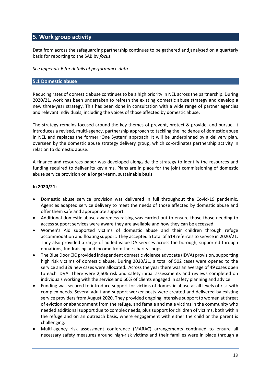# **5. Work group activity**

Data from across the safeguarding partnership continues to be gathered and analysed on a quarterly basis for reporting to the SAB by *focus*.

## *See appendix B for details of performance data*

# **5.1 Domestic abuse**

Reducing rates of domestic abuse continues to be a high priority in NEL across the partnership. During 2020/21, work has been undertaken to refresh the existing domestic abuse strategy and develop a new three-year strategy. This has been done in consultation with a wide range of partner agencies and relevant individuals, including the voices of those affected by domestic abuse.

The strategy remains focused around the key themes of prevent, protect & provide, and pursue. It introduces a revised, multi-agency, partnership approach to tackling the incidence of domestic abuse in NEL and replaces the former 'One System' approach. It will be underpinned by a delivery plan, overseen by the domestic abuse strategy delivery group, which co-ordinates partnership activity in relation to domestic abuse.

A finance and resources paper was developed alongside the strategy to identify the resources and funding required to deliver its key aims. Plans are in place for the joint commissioning of domestic abuse service provision on a longer-term, sustainable basis.

## **In 2020/21:**

- Domestic abuse service provision was delivered in full throughout the Covid-19 pandemic. Agencies adapted service delivery to meet the needs of those affected by domestic abuse and offer them safe and appropriate support.
- Additional domestic abuse awareness raising was carried out to ensure those those needing to access support services were aware they are available and how they can be accessed.
- Women's Aid supported victims of domestic abuse and their children through refuge accommodation and floating support. They accepted a total of 519 referrals to service in 2020/21. They also provided a range of added value DA services across the borough, supported through donations, fundraising and income from their charity shops.
- The Blue Door CiC provided independent domestic violence advocate (IDVA) provision, supporting high risk victims of domestic abuse. During 2020/21, a total of 502 cases were opened to the service and 329 new cases were allocated. Across the year there was an average of 49 cases open to each IDVA. There were 2,506 risk and safety initial assessments and reviews completed on individuals working with the service and 60% of clients engaged in safety planning and advice.
- Funding was secured to introduce support for victims of domestic abuse at all levels of risk with complex needs. Several adult and support worker posts were created and delivered by existing service providers from August 2020. They provided ongoing intensive support to women at threat of eviction or abandonment from the refuge, and female and male victims in the community who needed additional support due to complex needs, plus support for children of victims, both within the refuge and on an outreach basis, where engagement with either the child or the parent is challenging.
- Multi-agency risk assessment conference (MARAC) arrangements continued to ensure all necessary safety measures around high-risk victims and their families were in place through a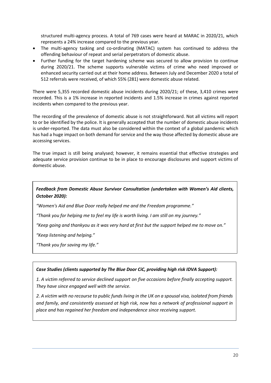structured multi-agency process. A total of 769 cases were heard at MARAC in 2020/21, which represents a 24% increase compared to the previous year.

- The multi-agency tasking and co-ordinating (MATAC) system has continued to address the offending behaviour of repeat and serial perpetrators of domestic abuse.
- Further funding for the target hardening scheme was secured to allow provision to continue during 2020/21. The scheme supports vulnerable victims of crime who need improved or enhanced security carried out at their home address. Between July and December 2020 a total of 512 referrals were received, of which 55% (281) were domestic abuse related.

There were 5,355 recorded domestic abuse incidents during 2020/21; of these, 3,410 crimes were recorded. This is a 1% increase in reported incidents and 1.5% increase in crimes against reported incidents when compared to the previous year.

The recording of the prevalence of domestic abuse is not straightforward. Not all victims will report to or be identified by the police. It is generally accepted that the number of domestic abuse incidents is under-reported. The data must also be considered within the context of a global pandemic which has had a huge impact on both demand for service and the way those affected by domestic abuse are accessing services.

The true impact is still being analysed; however, it remains essential that effective strategies and adequate service provision continue to be in place to encourage disclosures and support victims of domestic abuse.

# *Feedback from Domestic Abuse Survivor Consultation (undertaken with Women's Aid clients, October 2020):*

*"Women's Aid and Blue Door really helped me and the Freedom programme."*

*"Thank you for helping me to feel my life is worth living. I am still on my journey."*

*"Keep going and thankyou as it was very hard at first but the support helped me to move on."*

*"Keep listening and helping."*

*"Thank you for saving my life."*

# *Case Studies (clients supported by The Blue Door CiC, providing high risk IDVA Support):*

*1. A victim referred to service declined support on five occasions before finally accepting support. They have since engaged well with the service.*

*2. A victim with no recourse to public funds living in the UK on a spousal visa, isolated from friends and family, and consistently assessed at high risk, now has a network of professional support in place and has regained her freedom and independence since receiving support.*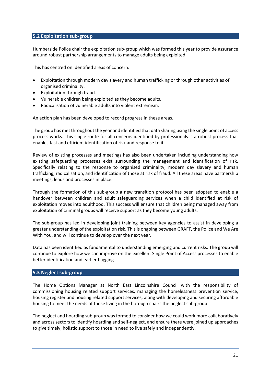## **5.2 Exploitation sub-group**

Humberside Police chair the exploitation sub-group which was formed this year to provide assurance around robust partnership arrangements to manage adults being exploited.

This has centred on identified areas of concern:

- Exploitation through modern day slavery and human trafficking or through other activities of organised criminality.
- Exploitation through fraud.
- Vulnerable children being exploited as they become adults.
- Radicalisation of vulnerable adults into violent extremism.

An action plan has been developed to record progress in these areas.

The group has met throughout the year and identified that data sharing using the single point of access process works. This single route for all concerns identified by professionals is a robust process that enables fast and efficient identification of risk and response to it.

Review of existing processes and meetings has also been undertaken including understanding how existing safeguarding processes exist surrounding the management and identification of risk. Specifically relating to the response to organised criminality, modern day slavery and human trafficking, radicalisation, and identification of those at risk of fraud. All these areas have partnership meetings, leads and processes in place.

Through the formation of this sub-group a new transition protocol has been adopted to enable a handover between children and adult safeguarding services when a child identified at risk of exploitation moves into adulthood. This success will ensure that children being managed away from exploitation of criminal groups will receive support as they become young adults.

The sub-group has led in developing joint training between key agencies to assist in developing a greater understanding of the exploitation risk. This is ongoing between GRAFT, the Police and We Are With You, and will continue to develop over the next year.

Data has been identified as fundamental to understanding emerging and current risks. The group will continue to explore how we can improve on the excellent Single Point of Access processes to enable better identification and earlier flagging.

#### **5.3 Neglect sub-group**

The Home Options Manager at North East Lincolnshire Council with the responsibility of commissioning housing related support services, managing the homelessness prevention service, housing register and housing related support services, along with developing and securing affordable housing to meet the needs of those living in the borough chairs the neglect sub-group.

The neglect and hoarding sub-group was formed to consider how we could work more collaboratively and across sectors to identify hoarding and self-neglect, and ensure there were joined up approaches to give timely, holistic support to those in need to live safely and independently.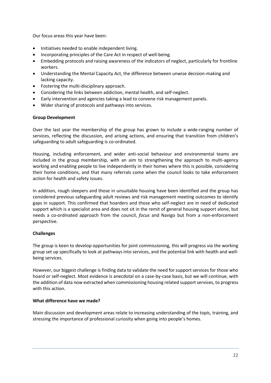Our focus areas this year have been:

- Initiatives needed to enable independent living.
- Incorporating principles of the Care Act in respect of well-being.
- Embedding protocols and raising awareness of the indicators of neglect, particularly for frontline workers.
- Understanding the Mental Capacity Act, the difference between unwise decision-making and lacking capacity.
- Fostering the multi-disciplinary approach.
- Considering the links between addiction, mental health, and self-neglect.
- Early intervention and agencies taking a lead to convene risk management panels.
- Wider sharing of protocols and pathways into services.

## **Group Development**

Over the last year the membership of the group has grown to include a wide-ranging number of services, reflecting the discussion, and arising actions, and ensuring that transition from children's safeguarding to adult safeguarding is co-ordinated.

Housing, including enforcement, and wider anti-social behaviour and environmental teams are included in the group membership, with an aim to strengthening the approach to multi-agency working and enabling people to live independently in their homes where this is possible, considering their home conditions, and that many referrals come when the council looks to take enforcement action for health and safety issues.

In addition, rough sleepers and those in unsuitable housing have been identified and the group has considered previous safeguarding adult reviews and risk management meeting outcomes to identify gaps in support. This confirmed that hoarders and those who self-neglect are in need of dedicated support which is a specialist area and does not sit in the remit of general housing support alone, but needs a co-ordinated approach from the council, *focus* and Navigo but from a non-enforcement perspective.

# **Challenges**

The group is keen to develop opportunities for joint commissioning, this will progress via the working group set up specifically to look at pathways into services, and the potential link with health and wellbeing services.

However, our biggest challenge is finding data to validate the need for support services for those who hoard or self-neglect. Most evidence is anecdotal on a case-by-case basis, but we will continue, with the addition of data now extracted when commissioning housing related support services, to progress with this action.

#### **What difference have we made?**

Main discussion and development areas relate to increasing understanding of the topic, training, and stressing the importance of professional curiosity when going into people's homes.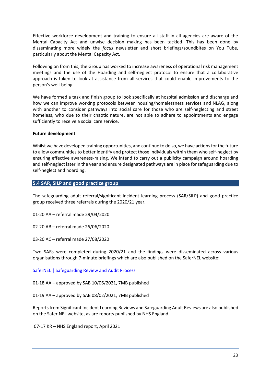Effective workforce development and training to ensure all staff in all agencies are aware of the Mental Capacity Act and unwise decision making has been tackled. This has been done by disseminating more widely the *focus* newsletter and short briefings/soundbites on You Tube, particularly about the Mental Capacity Act.

Following on from this, the Group has worked to increase awareness of operational risk management meetings and the use of the Hoarding and self-neglect protocol to ensure that a collaborative approach is taken to look at assistance from all services that could enable improvements to the person's well-being.

We have formed a task and finish group to look specifically at hospital admission and discharge and how we can improve working protocols between housing/homelessness services and NLAG, along with another to consider pathways into social care for those who are self-neglecting and street homeless, who due to their chaotic nature, are not able to adhere to appointments and engage sufficiently to receive a social care service.

## **Future development**

Whilst we have developed training opportunities, and continue to do so, we have actions for the future to allow communities to better identify and protect those individuals within them who self-neglect by ensuring effective awareness-raising. We intend to carry out a publicity campaign around hoarding and self-neglect later in the year and ensure designated pathways are in place for safeguarding due to self-neglect and hoarding.

# **5.4 SAR, SILP and good practice group**

The safeguarding adult referral/significant incident learning process (SAR/SILP) and good practice group received three referrals during the 2020/21 year.

01-20 AA – referral made 29/04/2020

02-20 AB – referral made 26/06/2020

03-20 AC – referral made 27/08/2020

Two SARs were completed during 2020/21 and the findings were disseminated across various organisations through 7-minute briefings which are also published on the SaferNEL website:

[SaferNEL | Safeguarding Review and Audit Process](https://www.safernel.co.uk/learning-from-audits-and-safeguarding-reviews/)

01-18 AA – approved by SAB 10/06/2021, 7MB published

01-19 AA – approved by SAB 08/02/2021, 7MB published

Reports from Significant Incident Learning Reviews and Safeguarding Adult Reviews are also published on the Safer NEL website, as are reports published by NHS England.

07-17 KR – NHS England report, April 2021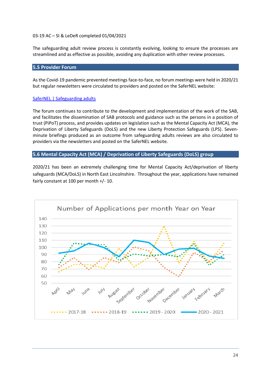#### 03-19 AC – SI & LeDeR completed 01/04/2021

The safeguarding adult review process is constantly evolving, looking to ensure the processes are streamlined and as effective as possible, avoiding any duplication with other review processes.

# **5.5 Provider Forum**

As the Covid-19 pandemic prevented meetings face-to-face, no forum meetings were held in 2020/21 but regular newsletters were circulated to providers and posted on the SaferNEL website:

## [SaferNEL | Safeguarding adults](https://www.safernel.co.uk/information-for-practitioners/safeguarding-adults/)

The forum continues to contribute to the development and implementation of the work of the SAB, and facilitates the dissemination of SAB protocols and guidance such as the persons in a position of trust (PiPoT) process, and provides updates on legislation such as the Mental Capacity Act (MCA), the Deprivation of Liberty Safeguards (DoLS) and the new Liberty Protection Safeguards (LPS). Sevenminute briefings produced as an outcome from safeguarding adults reviews are also circulated to providers via the newsletters and posted on the SaferNEL website.

## **5.6 Mental Capacity Act (MCA) / Deprivation of Liberty Safeguards (DoLS) group**

2020/21 has been an extremely challenging time for Mental Capacity Act/deprivation of liberty safeguards (MCA/DoLS) in North East Lincolnshire. Throughout the year, applications have remained fairly constant at 100 per month +/- 10.

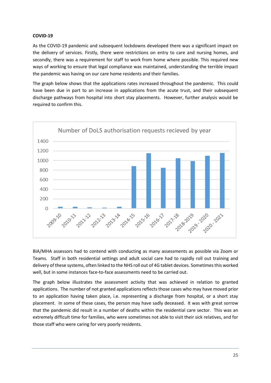## **COVID-19**

As the COVID-19 pandemic and subsequent lockdowns developed there was a significant impact on the delivery of services. Firstly, there were restrictions on entry to care and nursing homes, and secondly, there was a requirement for staff to work from home where possible. This required new ways of working to ensure that legal compliance was maintained, understanding the terrible impact the pandemic was having on our care home residents and their families.

The graph below shows that the applications rates increased throughout the pandemic. This could have been due in part to an increase in applications from the acute trust, and their subsequent discharge pathways from hospital into short stay placements. However, further analysis would be required to confirm this.



BIA/MHA assessors had to contend with conducting as many assessments as possible via Zoom or Teams. Staff in both residential settings and adult social care had to rapidly roll out training and delivery of these systems, often linked to the NHS roll out of 4G tablet devices. Sometimes this worked well, but in some instances face-to-face assessments need to be carried out.

The graph below illustrates the assessment activity that was achieved in relation to granted applications. The number of not granted applications reflects those cases who may have moved prior to an application having taken place, i.e. representing a discharge from hospital, or a short stay placement. In some of these cases, the person may have sadly deceased. It was with great sorrow that the pandemic did result in a number of deaths within the residential care sector. This was an extremely difficult time for families, who were sometimes not able to visit their sick relatives, and for those staff who were caring for very poorly residents.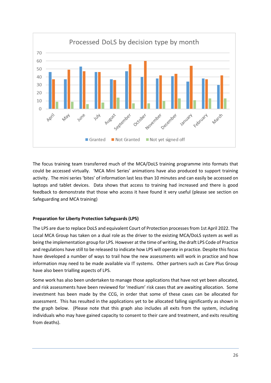

The focus training team transferred much of the MCA/DoLS training programme into formats that could be accessed virtually. 'MCA Mini Series' animations have also produced to support training activity. The mini series 'bites' of information last less than 10 minutes and can easily be accessed on laptops and tablet devices. Data shows that access to training had increased and there is good feedback to demonstrate that those who access it have found it very useful (please see section on Safeguarding and MCA training)

# **Preparation for Liberty Protection Safeguards (LPS)**

The LPS are due to replace DoLS and equivalent Court of Protection processes from 1st April 2022. The Local MCA Group has taken on a dual role as the driver to the existing MCA/DoLS system as well as being the implementation group for LPS. However at the time of writing, the draft LPS Code of Practice and regulations have still to be released to indicate how LPS will operate in practice. Despite this focus have developed a number of ways to trail how the new assessments will work in practice and how information may need to be made available via IT systems. Other partners such as Care Plus Group have also been trialling aspects of LPS.

Some work has also been undertaken to manage those applications that have not yet been allocated, and risk assessments have been reviewed for 'medium' risk cases that are awaiting allocation. Some investment has been made by the CCG, in order that some of these cases can be allocated for assessment. This has resulted in the applications yet to be allocated falling significantly as shown in the graph below. (Please note that this graph also includes all exits from the system, including individuals who may have gained capacity to consent to their care and treatment, and exits resulting from deaths).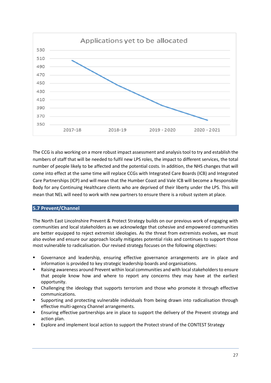

The CCG is also working on a more robust impact assessment and analysis tool to try and establish the numbers of staff that will be needed to fulfil new LPS roles, the impact to different services, the total number of people likely to be affected and the potential costs. In addition, the NHS changes that will come into effect at the same time will replace CCGs with Integrated Care Boards (ICB) and Integrated Care Partnerships (ICP) and will mean that the Humber Coast and Vale ICB will become a Responsible Body for any Continuing Healthcare clients who are deprived of their liberty under the LPS. This will mean that NEL will need to work with new partners to ensure there is a robust system at place.

# **5.7 Prevent/Channel**

The North East Lincolnshire Prevent & Protect Strategy builds on our previous work of engaging with communities and local stakeholders as we acknowledge that cohesive and empowered communities are better equipped to reject extremist ideologies. As the threat from extremists evolves, we must also evolve and ensure our approach locally mitigates potential risks and continues to support those most vulnerable to radicalisation. Our revised strategy focuses on the following objectives:

- Governance and leadership, ensuring effective governance arrangements are in place and information is provided to key strategic leadership boards and organisations.
- Raising awareness around Prevent within local communities and with local stakeholders to ensure that people know how and where to report any concerns they may have at the earliest opportunity.
- **•** Challenging the ideology that supports terrorism and those who promote it through effective communications.
- Supporting and protecting vulnerable individuals from being drawn into radicalisation through effective multi-agency Channel arrangements.
- **E** Ensuring effective partnerships are in place to support the delivery of the Prevent strategy and action plan.
- Explore and implement local action to support the Protect strand of the CONTEST Strategy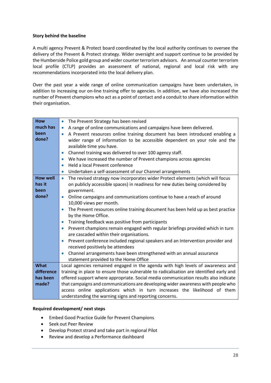## **Story behind the baseline**

A multi agency Prevent & Protect board coordinated by the local authority continues to oversee the delivery of the Prevent & Protect strategy. Wider oversight and support continue to be provided by the Humberside Police gold group and wider counter terrorism advisors. An annual counter terrorism local profile (CTLP) provides an assessment of national, regional and local risk with any recommendations incorporated into the local delivery plan.

Over the past year a wide range of online communication campaigns have been undertaken, in addition to increasing our on-line training offer to agencies. In addition, we have also increased the number of Prevent champions who act as a point of contact and a conduit to share information within their organisation.

| <b>How</b>      | The Prevent Strategy has been revised<br>$\bullet$                                          |
|-----------------|---------------------------------------------------------------------------------------------|
| much has        | A range of online communications and campaigns have been delivered.<br>$\bullet$            |
| been            | A Prevent resources online training document has been introduced enabling a<br>$\bullet$    |
| done?           | wider range of information to be accessible dependent on your role and the                  |
|                 | available time you have.                                                                    |
|                 | Channel training was delivered to over 100 agency staff.<br>$\bullet$                       |
|                 | We have increased the number of Prevent champions across agencies<br>$\bullet$              |
|                 | Held a local Prevent conference<br>$\bullet$                                                |
|                 | Undertaken a self-assessment of our Channel arrangements<br>$\bullet$                       |
| <b>How well</b> | The revised strategy now incorporates wider Protect elements (which will focus<br>$\bullet$ |
| has it          | on publicly accessible spaces) in readiness for new duties being considered by              |
| been            | government.                                                                                 |
| done?           | Online campaigns and communications continue to have a reach of around<br>$\bullet$         |
|                 | 10,000 views per month.                                                                     |
|                 | The Prevent resources online training document has been held up as best practice            |
|                 | by the Home Office.                                                                         |
|                 | Training feedback was positive from participants<br>$\bullet$                               |
|                 | Prevent champions remain engaged with regular briefings provided which in turn<br>$\bullet$ |
|                 | are cascaded within their organisations.                                                    |
|                 | Prevent conference included regional speakers and an Intervention provider and<br>$\bullet$ |
|                 | received positively be attendees                                                            |
|                 | Channel arrangements have been strengthened with an annual assurance                        |
|                 | statement provided to the Home Office                                                       |
| <b>What</b>     | Local agencies remained engaged in the agenda with high levels of awareness and             |
| difference      | training in place to ensure those vulnerable to radicalisation are identified early and     |
| has been        | offered support where appropriate. Social media communication results also indicate         |
| made?           | that campaigns and communications are developing wider awareness with people who            |
|                 | access online applications which in turn increases the likelihood of them                   |
|                 | understanding the warning signs and reporting concerns.                                     |

#### **Required development/ next steps**

- Embed Good Practice Guide for Prevent Champions
- Seek out Peer Review
- Develop Protect strand and take part in regional Pilot
- Review and develop a Performance dashboard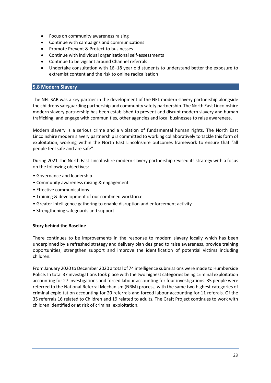- Focus on community awareness raising
- Continue with campaigns and communications
- Promote Prevent & Protect to businesses
- Continue with individual organisational self-assessments
- Continue to be vigilant around Channel referrals
- Undertake consultation with 16–18 year old students to understand better the exposure to extremist content and the risk to online radicalisation

## **5.8 Modern Slavery**

The NEL SAB was a key partner in the development of the NEL modern slavery partnership alongside the childrens safeguarding partnership and community safety partnership. The North East Lincolnshire modern slavery partnership has been established to prevent and disrupt modern slavery and human trafficking, and engage with communities, other agencies and local businesses to raise awareness.

Modern slavery is a serious crime and a violation of fundamental human rights. The North East Lincolnshire modern slavery partnership is committed to working collaboratively to tackle this form of exploitation, working within the North East Lincolnshire outcomes framework to ensure that "all people feel safe and are safe".

During 2021 The North East Lincolnshire modern slavery partnership revised its strategy with a focus on the following objectives:-

- Governance and leadership
- Community awareness raising & engagement
- Effective communications
- Training & development of our combined workforce
- Greater intelligence gathering to enable disruption and enforcement activity
- Strengthening safeguards and support

#### **Story behind the Baseline**

There continues to be improvements in the response to modern slavery locally which has been underpinned by a refreshed strategy and delivery plan designed to raise awareness, provide training opportunities, strengthen support and improve the identification of potential victims including children.

From January 2020 to December 2020 a total of 74 intelligence submissions were made to Humberside Police. In total 37 investigations took place with the two highest categories being criminal exploitation accounting for 27 investigations and forced labour accounting for four investigations. 35 people were referred to the National Referral Mechanism (NRM) process, with the same two highest categories of criminal exploitation accounting for 20 referrals and forced labour accounting for 11 referals. Of the 35 referrals 16 related to Children and 19 related to adults. The Graft Project continues to work with children identified or at risk of criminal exploitation.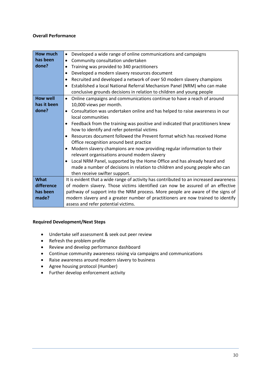#### **Overall Performance**

| Developed a wide range of online communications and campaigns<br>$\bullet$                 |  |
|--------------------------------------------------------------------------------------------|--|
| Community consultation undertaken<br>$\bullet$                                             |  |
| Training was provided to 340 practitioners                                                 |  |
| Developed a modern slavery resources document<br>$\bullet$                                 |  |
| Recruited and developed a network of over 50 modern slavery champions<br>٠                 |  |
| Established a local National Referral Mechanism Panel (NRM) who can make<br>$\bullet$      |  |
| conclusive grounds decisions in relation to children and young people                      |  |
| Online campaigns and communications continue to have a reach of around<br>$\bullet$        |  |
| 10,000 views per month.                                                                    |  |
| Consultation was undertaken online and has helped to raise awareness in our<br>$\bullet$   |  |
| local communities                                                                          |  |
| Feedback from the training was positive and indicated that practitioners knew<br>$\bullet$ |  |
| how to identify and refer potential victims                                                |  |
| Resources document followed the Prevent format which has received Home<br>$\bullet$        |  |
| Office recognition around best practice                                                    |  |
| Modern slavery champions are now providing regular information to their<br>$\bullet$       |  |
| relevant organisations around modern slavery                                               |  |
| Local NRM Panel, supported by the Home Office and has already heard and<br>$\bullet$       |  |
| made a number of decisions in relation to children and young people who can                |  |
| then receive swifter support.                                                              |  |
| It is evident that a wide range of activity has contributed to an increased awareness      |  |
| of modern slavery. Those victims identified can now be assured of an effective             |  |
| pathway of support into the NRM process. More people are aware of the signs of             |  |
| modern slavery and a greater number of practitioners are now trained to identify           |  |
| assess and refer potential victims.                                                        |  |
|                                                                                            |  |

# **Required Development/Next Steps**

- Undertake self assessment & seek out peer review
- Refresh the problem profile
- Review and develop performance dashboard
- Continue community awareness raising via campaigns and communications
- Raise awareness around modern slavery to business
- Agree housing protocol (Humber)
- Further develop enforcement activity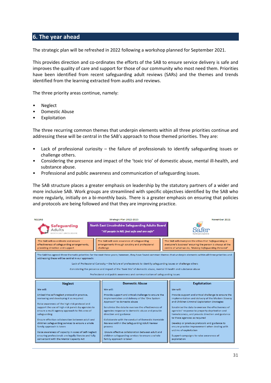# **6. The year ahead**

The strategic plan will be refreshed in 2022 following a workshop planned for September 2021.

This provides direction and co-ordinates the efforts of the SAB to ensure service delivery is safe and improves the quality of care and support for those of our community who most need them. Priorities have been identified from recent safeguarding adult reviews (SARs) and the themes and trends identified from the learning extracted from audits and reviews.

The three priority areas continue, namely:

- Neglect
- Domestic Abuse
- **Exploitation**

The three recurring common themes that underpin elements within all three priorities continue and addressing these will be central in the SAB's approach to those themed priorities. They are:

- Lack of professional curiosity the failure of professionals to identify safeguarding issues or challenge others.
- Considering the presence and impact of the 'toxic trio' of domestic abuse, mental ill-health, and substance abuse.
- Professional and public awareness and communication of safeguarding issues.

The SAB structure places a greater emphasis on leadership by the statutory partners of a wider and more inclusive SAB. Work groups are streamlined with specific objectives identified by the SAB who more regularly, initially on a bi-monthly basis. There is a greater emphasis on ensuring that policies and protocols are being followed and that they are improving practice.

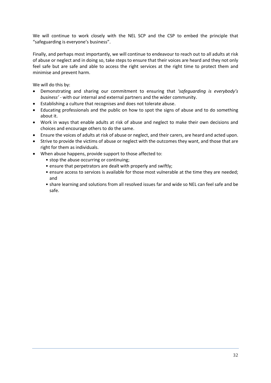We will continue to work closely with the NEL SCP and the CSP to embed the principle that "safeguarding is everyone's business".

Finally, and perhaps most importantly, we will continue to endeavour to reach out to all adults at risk of abuse or neglect and in doing so, take steps to ensure that their voices are heard and they not only feel safe but are safe and able to access the right services at the right time to protect them and minimise and prevent harm.

We will do this by:

- Demonstrating and sharing our commitment to ensuring that *'safeguarding is everybody's business'* - with our internal and external partners and the wider community.
- Establishing a culture that recognises and does not tolerate abuse.
- Educating professionals and the public on how to spot the signs of abuse and to do something about it.
- Work in ways that enable adults at risk of abuse and neglect to make their own decisions and choices and encourage others to do the same.
- Ensure the voices of adults at risk of abuse or neglect, and their carers, are heard and acted upon.
- Strive to provide the victims of abuse or neglect with the outcomes they want, and those that are right for them as individuals.
- When abuse happens, provide support to those affected to:
	- stop the abuse occurring or continuing;
	- ensure that perpetrators are dealt with properly and swiftly;
	- ensure access to services is available for those most vulnerable at the time they are needed; and
	- share learning and solutions from all resolved issues far and wide so NEL can feel safe and be safe.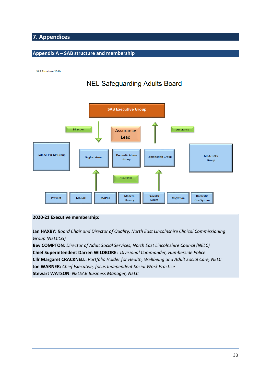# **7. Appendices**

# **Appendix A – SAB structure and membership**

SAB Structure 2020

# **NEL Safeguarding Adults Board**



# **2020-21 Executive membership:**

**Jan HAXBY:** *Board Chair and Director of Quality, North East Lincolnshire Clinical Commissioning Group (NELCCG)* 

**Bev COMPTON:** *Director of Adult Social Services, North East Lincolnshire Council (NELC)* **Chief Superintendent Darren WILDBORE:** *Divisional Commander, Humberside Police* **Cllr Margaret CRACKNELL:** *Portfolio Holder for Health, Wellbeing and Adult Social Care, NELC* **Joe WARNER:** *Chief Executive, focus Independent Social Work Practice* **Stewart WATSON***: NELSAB Business Manager, NELC*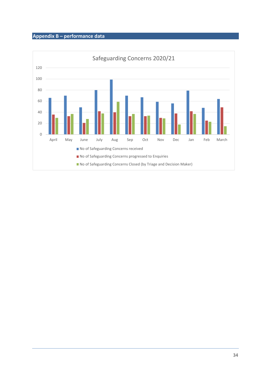# **Appendix B – performance data**